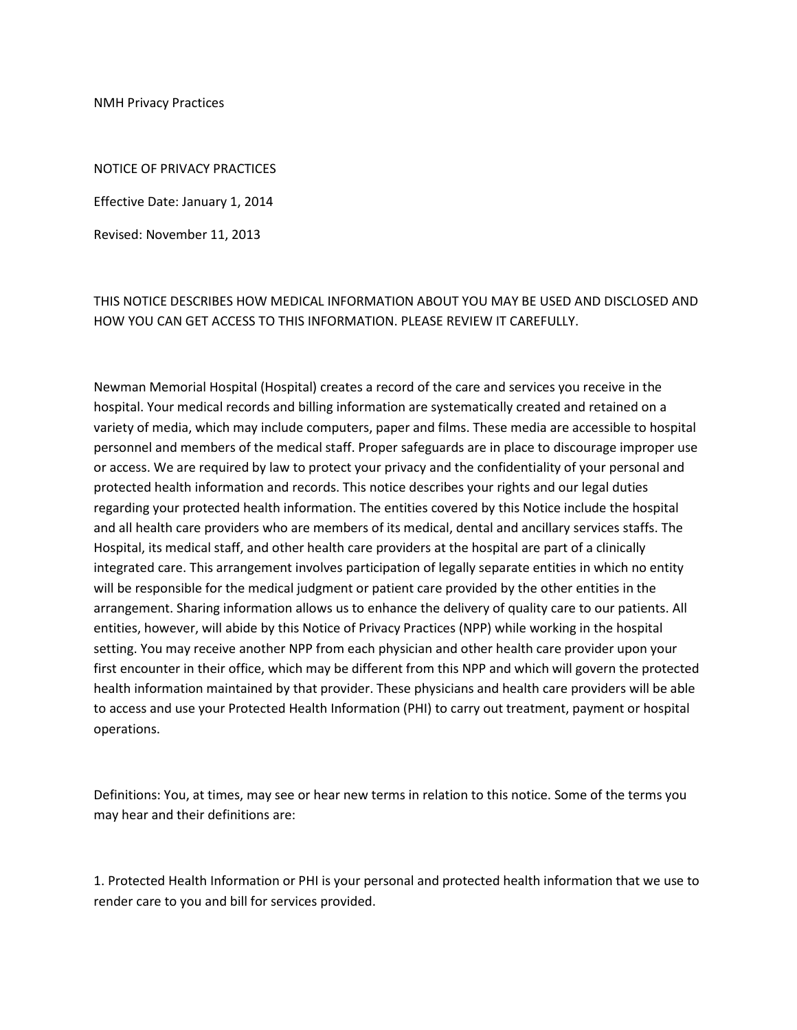NMH Privacy Practices

NOTICE OF PRIVACY PRACTICES

Effective Date: January 1, 2014

Revised: November 11, 2013

## THIS NOTICE DESCRIBES HOW MEDICAL INFORMATION ABOUT YOU MAY BE USED AND DISCLOSED AND HOW YOU CAN GET ACCESS TO THIS INFORMATION. PLEASE REVIEW IT CAREFULLY.

Newman Memorial Hospital (Hospital) creates a record of the care and services you receive in the hospital. Your medical records and billing information are systematically created and retained on a variety of media, which may include computers, paper and films. These media are accessible to hospital personnel and members of the medical staff. Proper safeguards are in place to discourage improper use or access. We are required by law to protect your privacy and the confidentiality of your personal and protected health information and records. This notice describes your rights and our legal duties regarding your protected health information. The entities covered by this Notice include the hospital and all health care providers who are members of its medical, dental and ancillary services staffs. The Hospital, its medical staff, and other health care providers at the hospital are part of a clinically integrated care. This arrangement involves participation of legally separate entities in which no entity will be responsible for the medical judgment or patient care provided by the other entities in the arrangement. Sharing information allows us to enhance the delivery of quality care to our patients. All entities, however, will abide by this Notice of Privacy Practices (NPP) while working in the hospital setting. You may receive another NPP from each physician and other health care provider upon your first encounter in their office, which may be different from this NPP and which will govern the protected health information maintained by that provider. These physicians and health care providers will be able to access and use your Protected Health Information (PHI) to carry out treatment, payment or hospital operations.

Definitions: You, at times, may see or hear new terms in relation to this notice. Some of the terms you may hear and their definitions are:

1. Protected Health Information or PHI is your personal and protected health information that we use to render care to you and bill for services provided.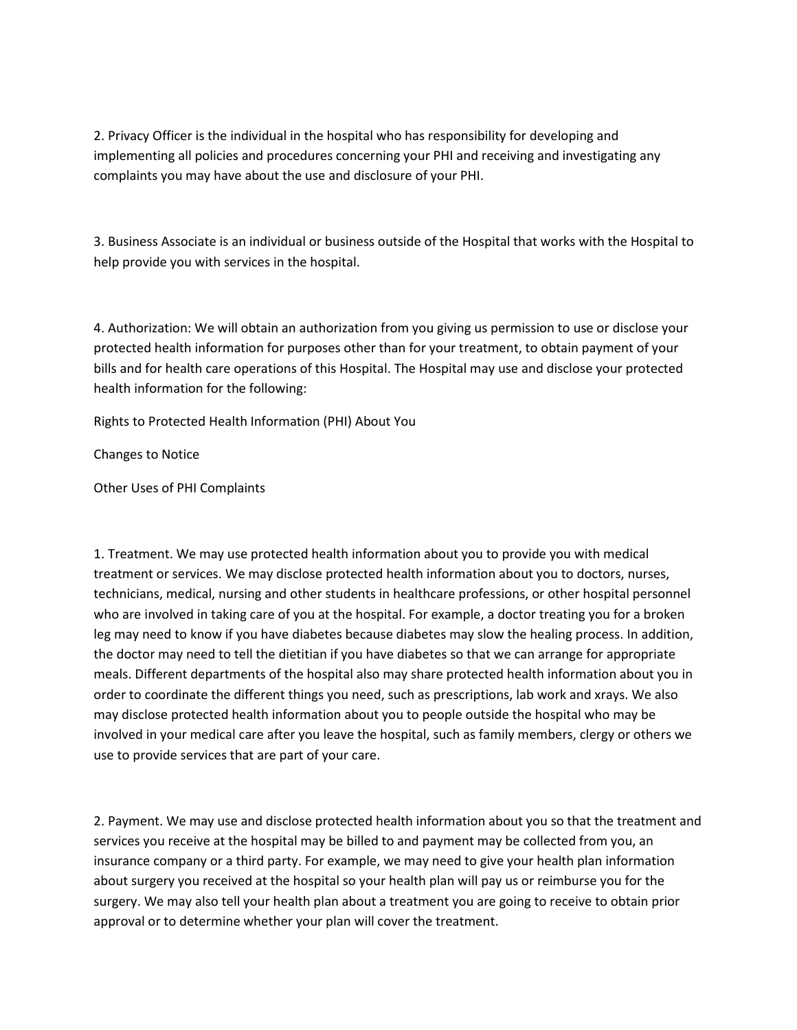2. Privacy Officer is the individual in the hospital who has responsibility for developing and implementing all policies and procedures concerning your PHI and receiving and investigating any complaints you may have about the use and disclosure of your PHI.

3. Business Associate is an individual or business outside of the Hospital that works with the Hospital to help provide you with services in the hospital.

4. Authorization: We will obtain an authorization from you giving us permission to use or disclose your protected health information for purposes other than for your treatment, to obtain payment of your bills and for health care operations of this Hospital. The Hospital may use and disclose your protected health information for the following:

Rights to Protected Health Information (PHI) About You

Changes to Notice

Other Uses of PHI Complaints

1. Treatment. We may use protected health information about you to provide you with medical treatment or services. We may disclose protected health information about you to doctors, nurses, technicians, medical, nursing and other students in healthcare professions, or other hospital personnel who are involved in taking care of you at the hospital. For example, a doctor treating you for a broken leg may need to know if you have diabetes because diabetes may slow the healing process. In addition, the doctor may need to tell the dietitian if you have diabetes so that we can arrange for appropriate meals. Different departments of the hospital also may share protected health information about you in order to coordinate the different things you need, such as prescriptions, lab work and xrays. We also may disclose protected health information about you to people outside the hospital who may be involved in your medical care after you leave the hospital, such as family members, clergy or others we use to provide services that are part of your care.

2. Payment. We may use and disclose protected health information about you so that the treatment and services you receive at the hospital may be billed to and payment may be collected from you, an insurance company or a third party. For example, we may need to give your health plan information about surgery you received at the hospital so your health plan will pay us or reimburse you for the surgery. We may also tell your health plan about a treatment you are going to receive to obtain prior approval or to determine whether your plan will cover the treatment.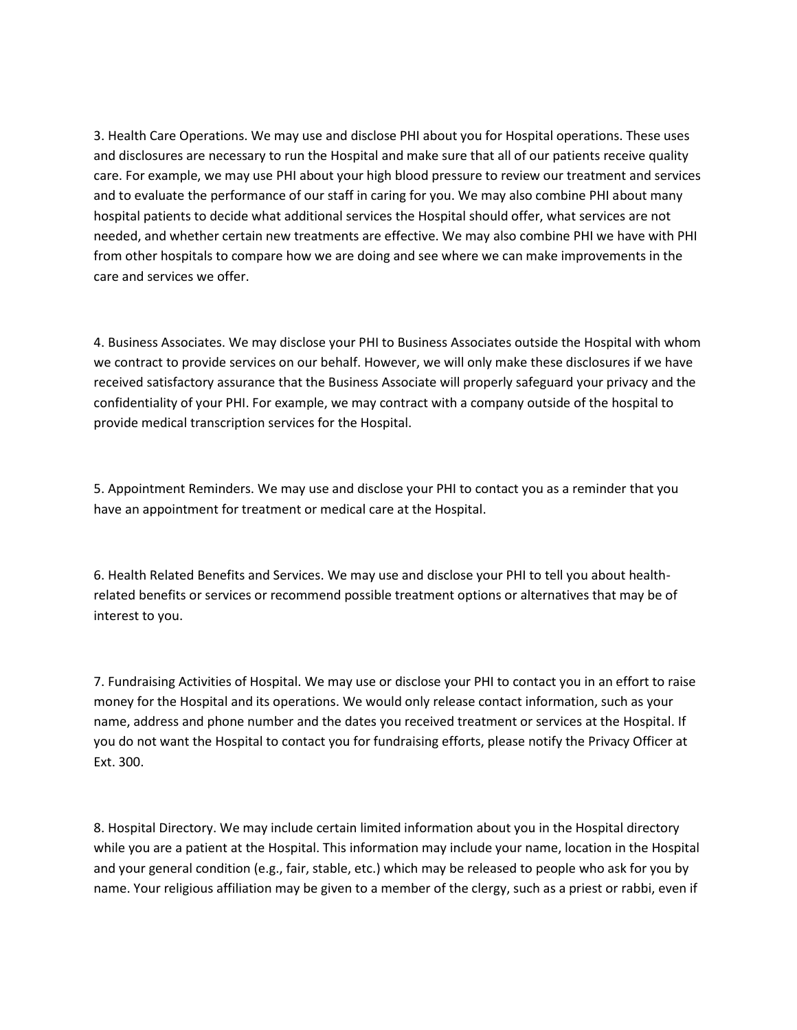3. Health Care Operations. We may use and disclose PHI about you for Hospital operations. These uses and disclosures are necessary to run the Hospital and make sure that all of our patients receive quality care. For example, we may use PHI about your high blood pressure to review our treatment and services and to evaluate the performance of our staff in caring for you. We may also combine PHI about many hospital patients to decide what additional services the Hospital should offer, what services are not needed, and whether certain new treatments are effective. We may also combine PHI we have with PHI from other hospitals to compare how we are doing and see where we can make improvements in the care and services we offer.

4. Business Associates. We may disclose your PHI to Business Associates outside the Hospital with whom we contract to provide services on our behalf. However, we will only make these disclosures if we have received satisfactory assurance that the Business Associate will properly safeguard your privacy and the confidentiality of your PHI. For example, we may contract with a company outside of the hospital to provide medical transcription services for the Hospital.

5. Appointment Reminders. We may use and disclose your PHI to contact you as a reminder that you have an appointment for treatment or medical care at the Hospital.

6. Health Related Benefits and Services. We may use and disclose your PHI to tell you about healthrelated benefits or services or recommend possible treatment options or alternatives that may be of interest to you.

7. Fundraising Activities of Hospital. We may use or disclose your PHI to contact you in an effort to raise money for the Hospital and its operations. We would only release contact information, such as your name, address and phone number and the dates you received treatment or services at the Hospital. If you do not want the Hospital to contact you for fundraising efforts, please notify the Privacy Officer at Ext. 300.

8. Hospital Directory. We may include certain limited information about you in the Hospital directory while you are a patient at the Hospital. This information may include your name, location in the Hospital and your general condition (e.g., fair, stable, etc.) which may be released to people who ask for you by name. Your religious affiliation may be given to a member of the clergy, such as a priest or rabbi, even if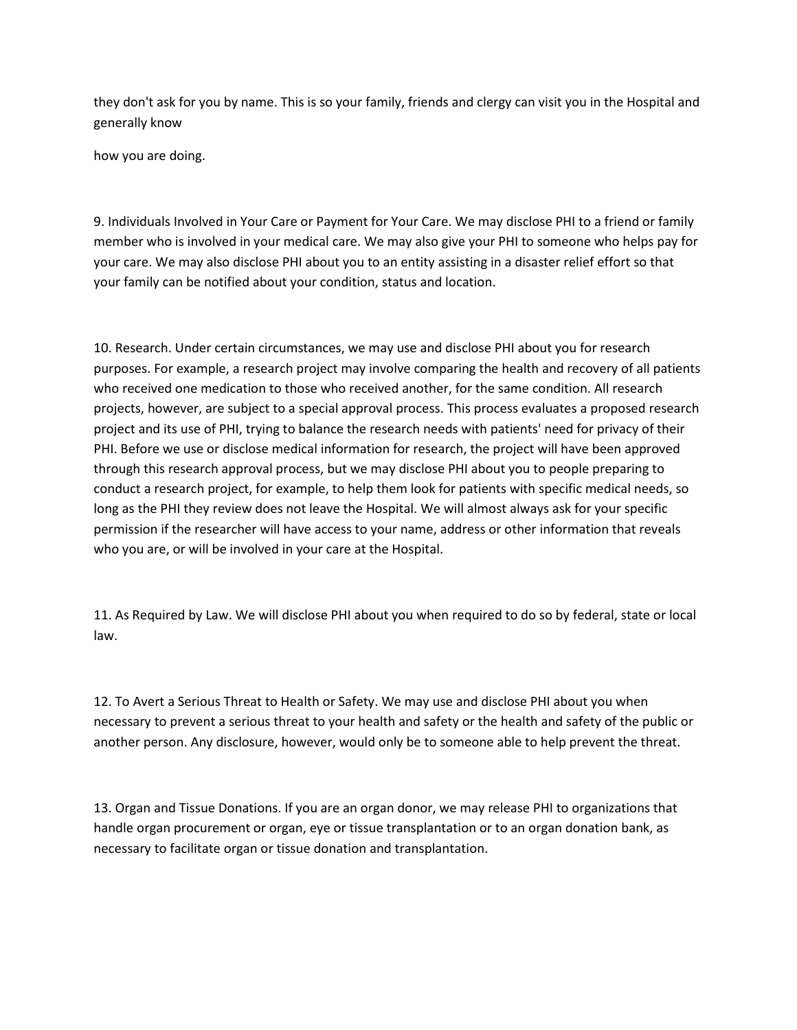they don't ask for you by name. This is so your family, friends and clergy can visit you in the Hospital and generally know

how you are doing.

9. Individuals Involved in Your Care or Payment for Your Care. We may disclose PHI to a friend or family member who is involved in your medical care. We may also give your PHI to someone who helps pay for your care. We may also disclose PHI about you to an entity assisting in a disaster relief effort so that your family can be notified about your condition, status and location.

10. Research. Under certain circumstances, we may use and disclose PHI about you for research purposes. For example, a research project may involve comparing the health and recovery of all patients who received one medication to those who received another, for the same condition. All research projects, however, are subject to a special approval process. This process evaluates a proposed research project and its use of PHI, trying to balance the research needs with patients' need for privacy of their PHI. Before we use or disclose medical information for research, the project will have been approved through this research approval process, but we may disclose PHI about you to people preparing to conduct a research project, for example, to help them look for patients with specific medical needs, so long as the PHI they review does not leave the Hospital. We will almost always ask for your specific permission if the researcher will have access to your name, address or other information that reveals who you are, or will be involved in your care at the Hospital.

11. As Required by Law. We will disclose PHI about you when required to do so by federal, state or local law.

12. To Avert a Serious Threat to Health or Safety. We may use and disclose PHI about you when necessary to prevent a serious threat to your health and safety or the health and safety of the public or another person. Any disclosure, however, would only be to someone able to help prevent the threat.

13. Organ and Tissue Donations. If you are an organ donor, we may release PHI to organizations that handle organ procurement or organ, eye or tissue transplantation or to an organ donation bank, as necessary to facilitate organ or tissue donation and transplantation.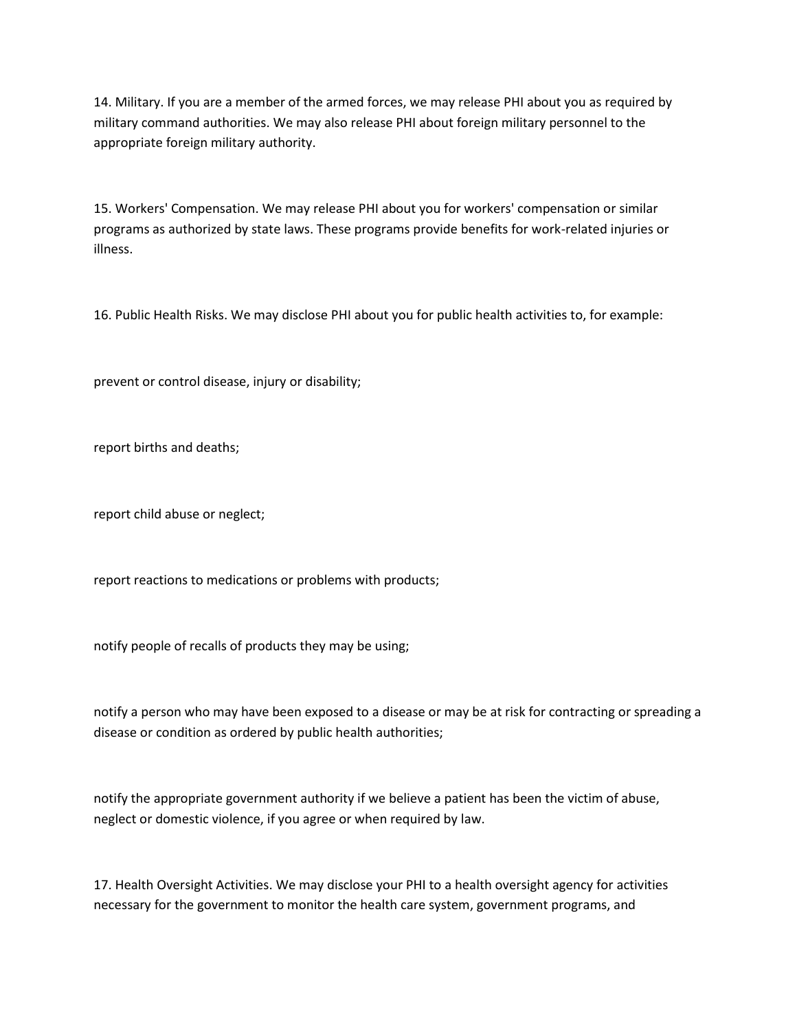14. Military. If you are a member of the armed forces, we may release PHI about you as required by military command authorities. We may also release PHI about foreign military personnel to the appropriate foreign military authority.

15. Workers' Compensation. We may release PHI about you for workers' compensation or similar programs as authorized by state laws. These programs provide benefits for work-related injuries or illness.

16. Public Health Risks. We may disclose PHI about you for public health activities to, for example:

prevent or control disease, injury or disability;

report births and deaths;

report child abuse or neglect;

report reactions to medications or problems with products;

notify people of recalls of products they may be using;

notify a person who may have been exposed to a disease or may be at risk for contracting or spreading a disease or condition as ordered by public health authorities;

notify the appropriate government authority if we believe a patient has been the victim of abuse, neglect or domestic violence, if you agree or when required by law.

17. Health Oversight Activities. We may disclose your PHI to a health oversight agency for activities necessary for the government to monitor the health care system, government programs, and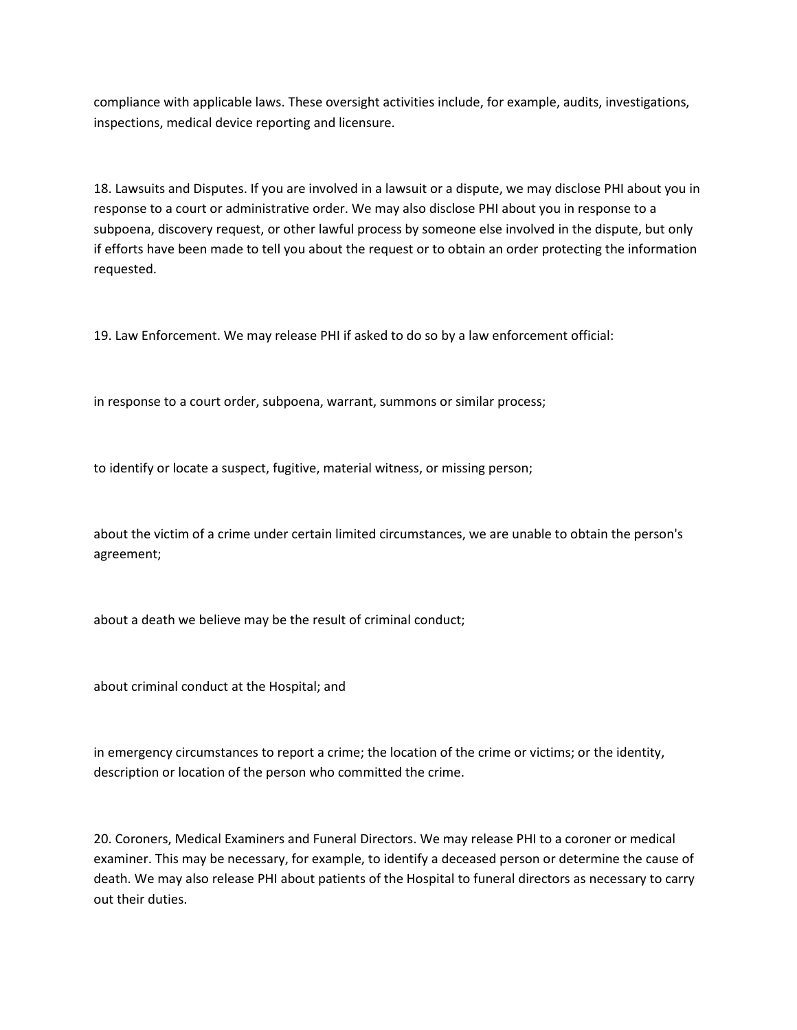compliance with applicable laws. These oversight activities include, for example, audits, investigations, inspections, medical device reporting and licensure.

18. Lawsuits and Disputes. If you are involved in a lawsuit or a dispute, we may disclose PHI about you in response to a court or administrative order. We may also disclose PHI about you in response to a subpoena, discovery request, or other lawful process by someone else involved in the dispute, but only if efforts have been made to tell you about the request or to obtain an order protecting the information requested.

19. Law Enforcement. We may release PHI if asked to do so by a law enforcement official:

in response to a court order, subpoena, warrant, summons or similar process;

to identify or locate a suspect, fugitive, material witness, or missing person;

about the victim of a crime under certain limited circumstances, we are unable to obtain the person's agreement;

about a death we believe may be the result of criminal conduct;

about criminal conduct at the Hospital; and

in emergency circumstances to report a crime; the location of the crime or victims; or the identity, description or location of the person who committed the crime.

20. Coroners, Medical Examiners and Funeral Directors. We may release PHI to a coroner or medical examiner. This may be necessary, for example, to identify a deceased person or determine the cause of death. We may also release PHI about patients of the Hospital to funeral directors as necessary to carry out their duties.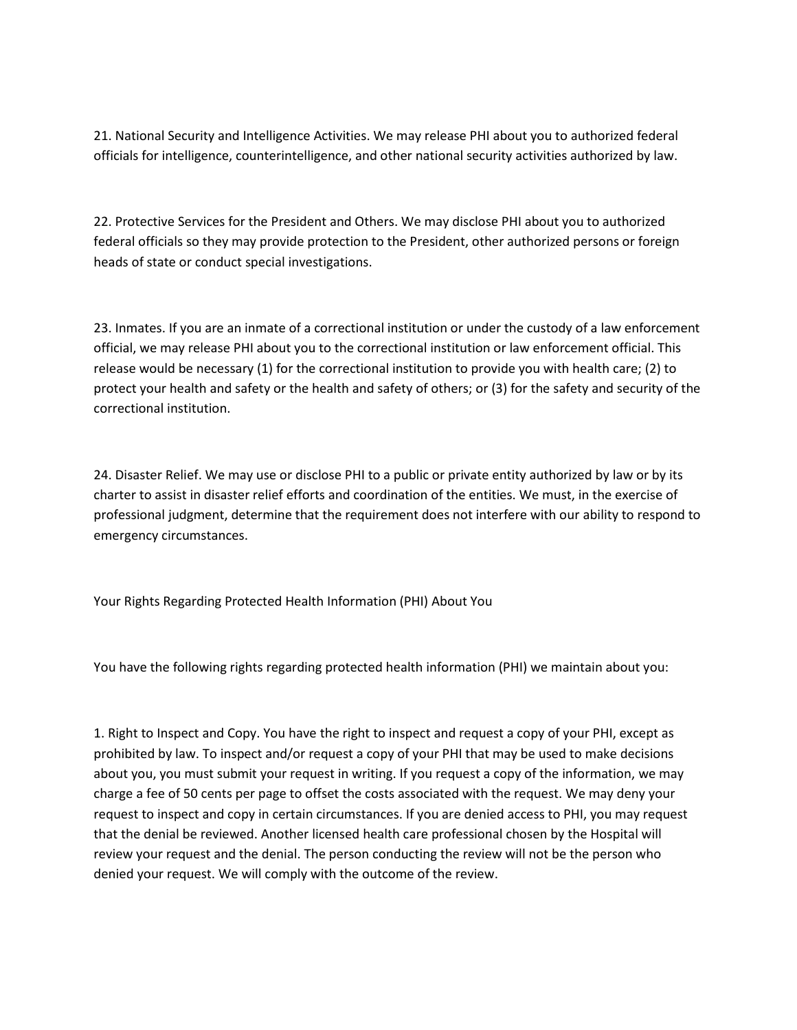21. National Security and Intelligence Activities. We may release PHI about you to authorized federal officials for intelligence, counterintelligence, and other national security activities authorized by law.

22. Protective Services for the President and Others. We may disclose PHI about you to authorized federal officials so they may provide protection to the President, other authorized persons or foreign heads of state or conduct special investigations.

23. Inmates. If you are an inmate of a correctional institution or under the custody of a law enforcement official, we may release PHI about you to the correctional institution or law enforcement official. This release would be necessary (1) for the correctional institution to provide you with health care; (2) to protect your health and safety or the health and safety of others; or (3) for the safety and security of the correctional institution.

24. Disaster Relief. We may use or disclose PHI to a public or private entity authorized by law or by its charter to assist in disaster relief efforts and coordination of the entities. We must, in the exercise of professional judgment, determine that the requirement does not interfere with our ability to respond to emergency circumstances.

Your Rights Regarding Protected Health Information (PHI) About You

You have the following rights regarding protected health information (PHI) we maintain about you:

1. Right to Inspect and Copy. You have the right to inspect and request a copy of your PHI, except as prohibited by law. To inspect and/or request a copy of your PHI that may be used to make decisions about you, you must submit your request in writing. If you request a copy of the information, we may charge a fee of 50 cents per page to offset the costs associated with the request. We may deny your request to inspect and copy in certain circumstances. If you are denied access to PHI, you may request that the denial be reviewed. Another licensed health care professional chosen by the Hospital will review your request and the denial. The person conducting the review will not be the person who denied your request. We will comply with the outcome of the review.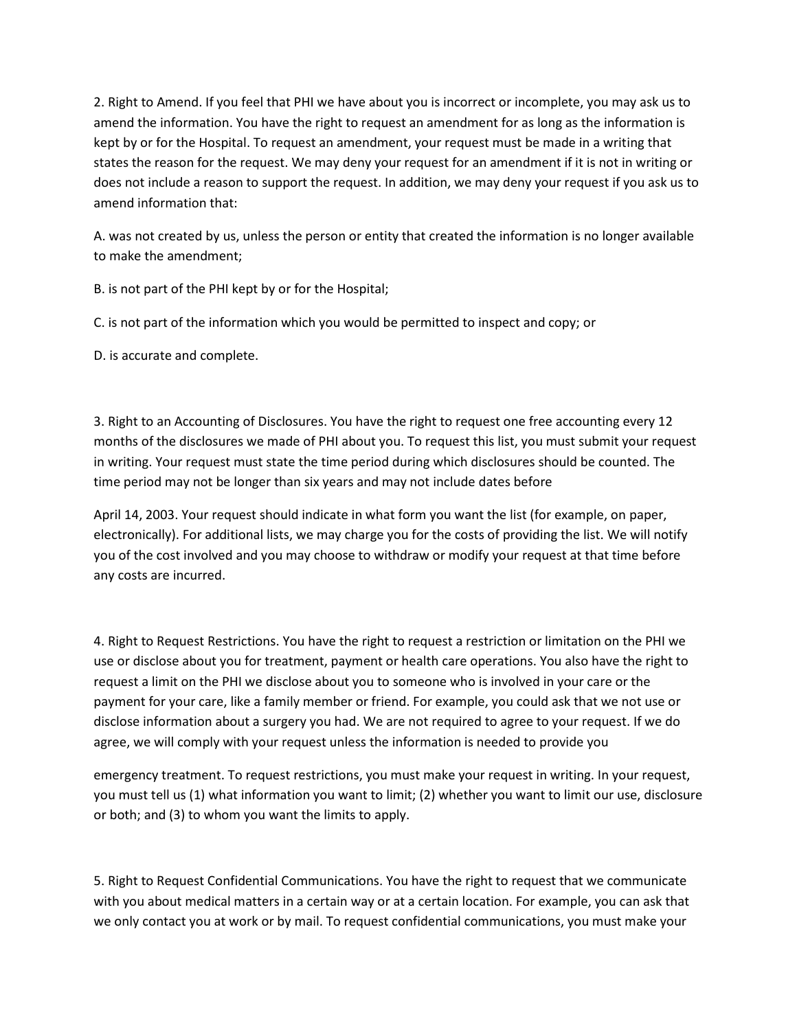2. Right to Amend. If you feel that PHI we have about you is incorrect or incomplete, you may ask us to amend the information. You have the right to request an amendment for as long as the information is kept by or for the Hospital. To request an amendment, your request must be made in a writing that states the reason for the request. We may deny your request for an amendment if it is not in writing or does not include a reason to support the request. In addition, we may deny your request if you ask us to amend information that:

A. was not created by us, unless the person or entity that created the information is no longer available to make the amendment;

B. is not part of the PHI kept by or for the Hospital;

C. is not part of the information which you would be permitted to inspect and copy; or

D. is accurate and complete.

3. Right to an Accounting of Disclosures. You have the right to request one free accounting every 12 months of the disclosures we made of PHI about you. To request this list, you must submit your request in writing. Your request must state the time period during which disclosures should be counted. The time period may not be longer than six years and may not include dates before

April 14, 2003. Your request should indicate in what form you want the list (for example, on paper, electronically). For additional lists, we may charge you for the costs of providing the list. We will notify you of the cost involved and you may choose to withdraw or modify your request at that time before any costs are incurred.

4. Right to Request Restrictions. You have the right to request a restriction or limitation on the PHI we use or disclose about you for treatment, payment or health care operations. You also have the right to request a limit on the PHI we disclose about you to someone who is involved in your care or the payment for your care, like a family member or friend. For example, you could ask that we not use or disclose information about a surgery you had. We are not required to agree to your request. If we do agree, we will comply with your request unless the information is needed to provide you

emergency treatment. To request restrictions, you must make your request in writing. In your request, you must tell us (1) what information you want to limit; (2) whether you want to limit our use, disclosure or both; and (3) to whom you want the limits to apply.

5. Right to Request Confidential Communications. You have the right to request that we communicate with you about medical matters in a certain way or at a certain location. For example, you can ask that we only contact you at work or by mail. To request confidential communications, you must make your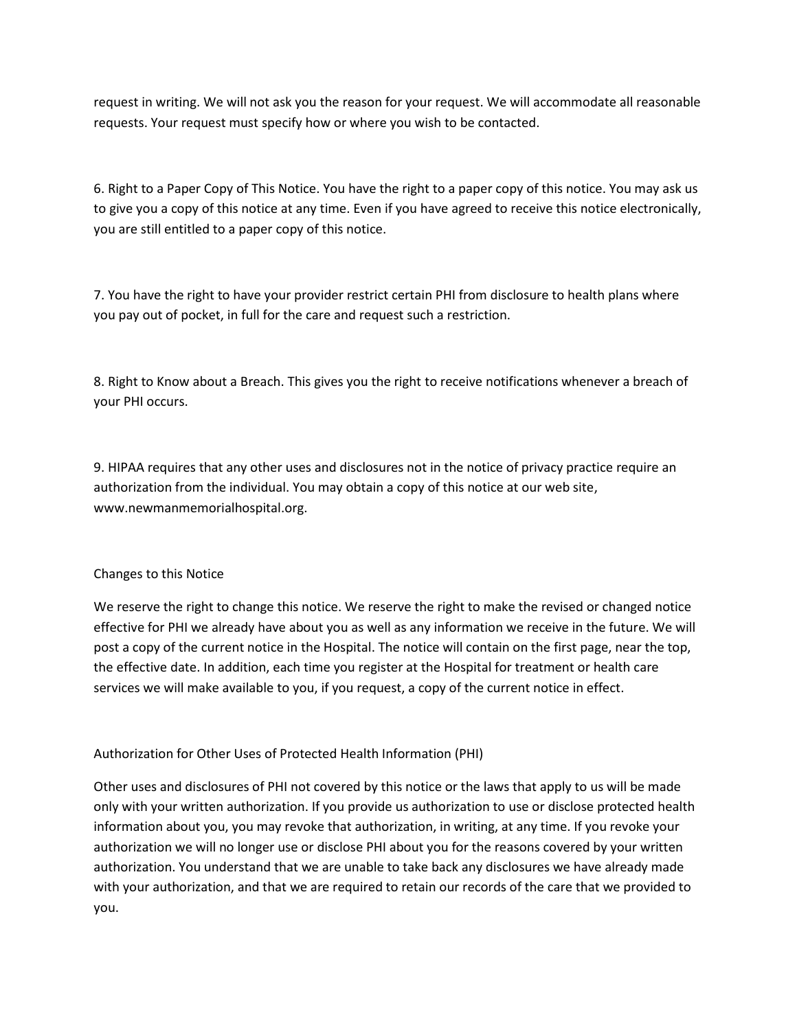request in writing. We will not ask you the reason for your request. We will accommodate all reasonable requests. Your request must specify how or where you wish to be contacted.

6. Right to a Paper Copy of This Notice. You have the right to a paper copy of this notice. You may ask us to give you a copy of this notice at any time. Even if you have agreed to receive this notice electronically, you are still entitled to a paper copy of this notice.

7. You have the right to have your provider restrict certain PHI from disclosure to health plans where you pay out of pocket, in full for the care and request such a restriction.

8. Right to Know about a Breach. This gives you the right to receive notifications whenever a breach of your PHI occurs.

9. HIPAA requires that any other uses and disclosures not in the notice of privacy practice require an authorization from the individual. You may obtain a copy of this notice at our web site, www.newmanmemorialhospital.org.

## Changes to this Notice

We reserve the right to change this notice. We reserve the right to make the revised or changed notice effective for PHI we already have about you as well as any information we receive in the future. We will post a copy of the current notice in the Hospital. The notice will contain on the first page, near the top, the effective date. In addition, each time you register at the Hospital for treatment or health care services we will make available to you, if you request, a copy of the current notice in effect.

## Authorization for Other Uses of Protected Health Information (PHI)

Other uses and disclosures of PHI not covered by this notice or the laws that apply to us will be made only with your written authorization. If you provide us authorization to use or disclose protected health information about you, you may revoke that authorization, in writing, at any time. If you revoke your authorization we will no longer use or disclose PHI about you for the reasons covered by your written authorization. You understand that we are unable to take back any disclosures we have already made with your authorization, and that we are required to retain our records of the care that we provided to you.